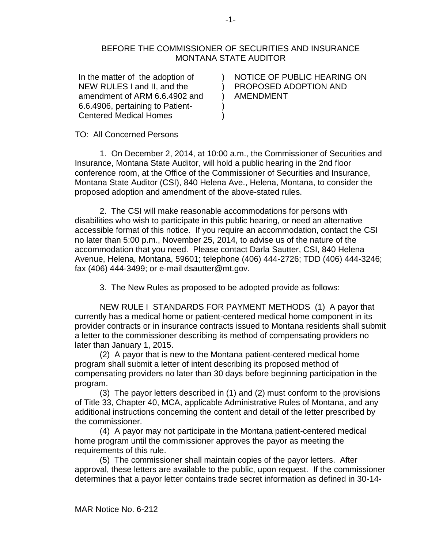## BEFORE THE COMMISSIONER OF SECURITIES AND INSURANCE MONTANA STATE AUDITOR

)

) )

In the matter of the adoption of NEW RULES I and II, and the amendment of ARM 6.6.4902 and 6.6.4906, pertaining to Patient-Centered Medical Homes

) PROPOSED ADOPTION AND  $\mathcal{L}$ NOTICE OF PUBLIC HEARING ON AMENDMENT

TO: All Concerned Persons

1. On December 2, 2014, at 10:00 a.m., the Commissioner of Securities and Insurance, Montana State Auditor, will hold a public hearing in the 2nd floor conference room, at the Office of the Commissioner of Securities and Insurance, Montana State Auditor (CSI), 840 Helena Ave., Helena, Montana, to consider the proposed adoption and amendment of the above-stated rules.

2. The CSI will make reasonable accommodations for persons with disabilities who wish to participate in this public hearing, or need an alternative accessible format of this notice. If you require an accommodation, contact the CSI no later than 5:00 p.m., November 25, 2014, to advise us of the nature of the accommodation that you need. Please contact Darla Sautter, CSI, 840 Helena Avenue, Helena, Montana, 59601; telephone (406) 444-2726; TDD (406) 444-3246; fax (406) 444-3499; or e-mail dsautter@mt.gov.

3. The New Rules as proposed to be adopted provide as follows:

NEW RULE I STANDARDS FOR PAYMENT METHODS (1) A payor that currently has a medical home or patient-centered medical home component in its provider contracts or in insurance contracts issued to Montana residents shall submit a letter to the commissioner describing its method of compensating providers no later than January 1, 2015.

(2) A payor that is new to the Montana patient-centered medical home program shall submit a letter of intent describing its proposed method of compensating providers no later than 30 days before beginning participation in the program.

(3) The payor letters described in (1) and (2) must conform to the provisions of Title 33, Chapter 40, MCA, applicable Administrative Rules of Montana, and any additional instructions concerning the content and detail of the letter prescribed by the commissioner.

(4) A payor may not participate in the Montana patient-centered medical home program until the commissioner approves the payor as meeting the requirements of this rule.

(5) The commissioner shall maintain copies of the payor letters. After approval, these letters are available to the public, upon request. If the commissioner determines that a payor letter contains trade secret information as defined in 30-14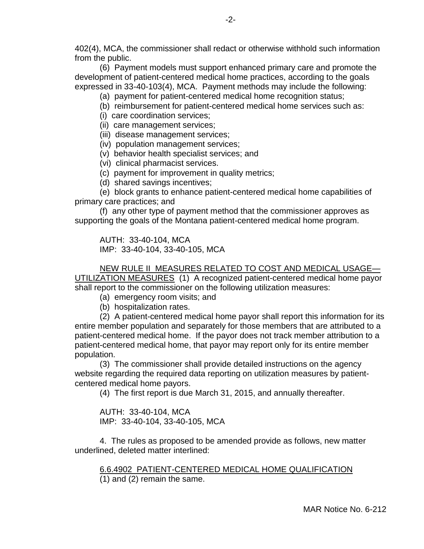402(4), MCA, the commissioner shall redact or otherwise withhold such information from the public.

(6) Payment models must support enhanced primary care and promote the development of patient-centered medical home practices, according to the goals expressed in 33-40-103(4), MCA. Payment methods may include the following:

- (a) payment for patient-centered medical home recognition status;
- (b) reimbursement for patient-centered medical home services such as:
- (i) care coordination services;
- (ii) care management services;
- (iii) disease management services;
- (iv) population management services;
- (v) behavior health specialist services; and
- (vi) clinical pharmacist services.
- (c) payment for improvement in quality metrics;
- (d) shared savings incentives;

(e) block grants to enhance patient-centered medical home capabilities of primary care practices; and

(f) any other type of payment method that the commissioner approves as supporting the goals of the Montana patient-centered medical home program.

AUTH: 33-40-104, MCA IMP: 33-40-104, 33-40-105, MCA

NEW RULE II MEASURES RELATED TO COST AND MEDICAL USAGE— UTILIZATION MEASURES (1) A recognized patient-centered medical home payor shall report to the commissioner on the following utilization measures:

- (a) emergency room visits; and
- (b) hospitalization rates.

(2) A patient-centered medical home payor shall report this information for its entire member population and separately for those members that are attributed to a patient-centered medical home. If the payor does not track member attribution to a patient-centered medical home, that payor may report only for its entire member population.

(3) The commissioner shall provide detailed instructions on the agency website regarding the required data reporting on utilization measures by patientcentered medical home payors.

(4) The first report is due March 31, 2015, and annually thereafter.

AUTH: 33-40-104, MCA IMP: 33-40-104, 33-40-105, MCA

4. The rules as proposed to be amended provide as follows, new matter underlined, deleted matter interlined:

6.6.4902 PATIENT-CENTERED MEDICAL HOME QUALIFICATION (1) and (2) remain the same.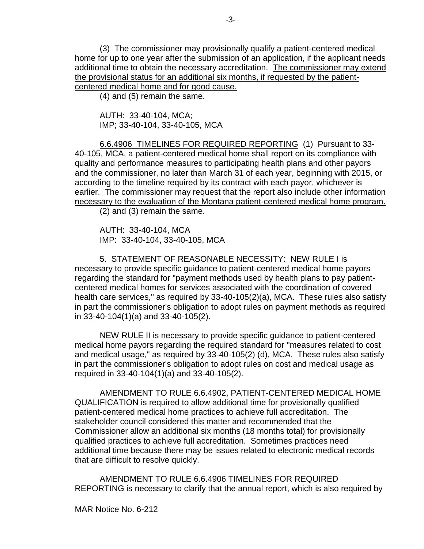(3) The commissioner may provisionally qualify a patient-centered medical home for up to one year after the submission of an application, if the applicant needs additional time to obtain the necessary accreditation. The commissioner may extend the provisional status for an additional six months, if requested by the patientcentered medical home and for good cause.

(4) and (5) remain the same.

AUTH: 33-40-104, MCA; IMP; 33-40-104, 33-40-105, MCA

6.6.4906 TIMELINES FOR REQUIRED REPORTING (1) Pursuant to 33- 40-105, MCA, a patient-centered medical home shall report on its compliance with quality and performance measures to participating health plans and other payors and the commissioner, no later than March 31 of each year, beginning with 2015, or according to the timeline required by its contract with each payor, whichever is earlier. The commissioner may request that the report also include other information necessary to the evaluation of the Montana patient-centered medical home program.

(2) and (3) remain the same.

AUTH: 33-40-104, MCA IMP: 33-40-104, 33-40-105, MCA

5. STATEMENT OF REASONABLE NECESSITY: NEW RULE I is necessary to provide specific guidance to patient-centered medical home payors regarding the standard for "payment methods used by health plans to pay patientcentered medical homes for services associated with the coordination of covered health care services," as required by 33-40-105(2)(a), MCA. These rules also satisfy in part the commissioner's obligation to adopt rules on payment methods as required in 33-40-104(1)(a) and 33-40-105(2).

NEW RULE II is necessary to provide specific guidance to patient-centered medical home payors regarding the required standard for "measures related to cost and medical usage," as required by 33-40-105(2) (d), MCA. These rules also satisfy in part the commissioner's obligation to adopt rules on cost and medical usage as required in 33-40-104(1)(a) and 33-40-105(2).

AMENDMENT TO RULE 6.6.4902, PATIENT-CENTERED MEDICAL HOME QUALIFICATION is required to allow additional time for provisionally qualified patient-centered medical home practices to achieve full accreditation. The stakeholder council considered this matter and recommended that the Commissioner allow an additional six months (18 months total) for provisionally qualified practices to achieve full accreditation. Sometimes practices need additional time because there may be issues related to electronic medical records that are difficult to resolve quickly.

AMENDMENT TO RULE 6.6.4906 TIMELINES FOR REQUIRED REPORTING is necessary to clarify that the annual report, which is also required by

MAR Notice No. 6-212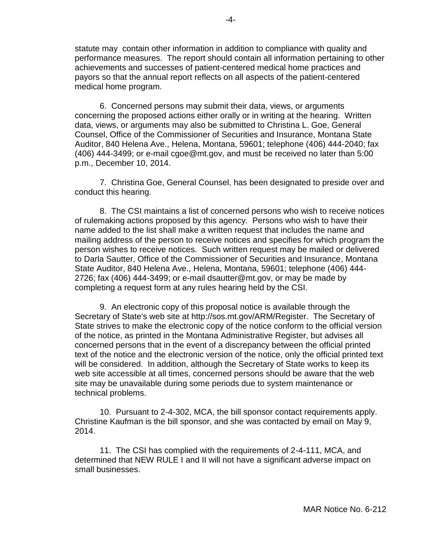statute may contain other information in addition to compliance with quality and performance measures. The report should contain all information pertaining to other achievements and successes of patient-centered medical home practices and payors so that the annual report reflects on all aspects of the patient-centered medical home program.

6. Concerned persons may submit their data, views, or arguments concerning the proposed actions either orally or in writing at the hearing. Written data, views, or arguments may also be submitted to Christina L. Goe, General Counsel, Office of the Commissioner of Securities and Insurance, Montana State Auditor, 840 Helena Ave., Helena, Montana, 59601; telephone (406) 444-2040; fax (406) 444-3499; or e-mail cgoe@mt.gov, and must be received no later than 5:00 p.m., December 10, 2014.

7. Christina Goe, General Counsel, has been designated to preside over and conduct this hearing.

8. The CSI maintains a list of concerned persons who wish to receive notices of rulemaking actions proposed by this agency. Persons who wish to have their name added to the list shall make a written request that includes the name and mailing address of the person to receive notices and specifies for which program the person wishes to receive notices. Such written request may be mailed or delivered to Darla Sautter, Office of the Commissioner of Securities and Insurance, Montana State Auditor, 840 Helena Ave., Helena, Montana, 59601; telephone (406) 444- 2726; fax (406) 444-3499; or e-mail dsautter@mt.gov, or may be made by completing a request form at any rules hearing held by the CSI.

9. An electronic copy of this proposal notice is available through the Secretary of State's web site at http://sos.mt.gov/ARM/Register. The Secretary of State strives to make the electronic copy of the notice conform to the official version of the notice, as printed in the Montana Administrative Register, but advises all concerned persons that in the event of a discrepancy between the official printed text of the notice and the electronic version of the notice, only the official printed text will be considered. In addition, although the Secretary of State works to keep its web site accessible at all times, concerned persons should be aware that the web site may be unavailable during some periods due to system maintenance or technical problems.

10. Pursuant to 2-4-302, MCA, the bill sponsor contact requirements apply. Christine Kaufman is the bill sponsor, and she was contacted by email on May 9, 2014.

11. The CSI has complied with the requirements of 2-4-111, MCA, and determined that NEW RULE I and II will not have a significant adverse impact on small businesses.